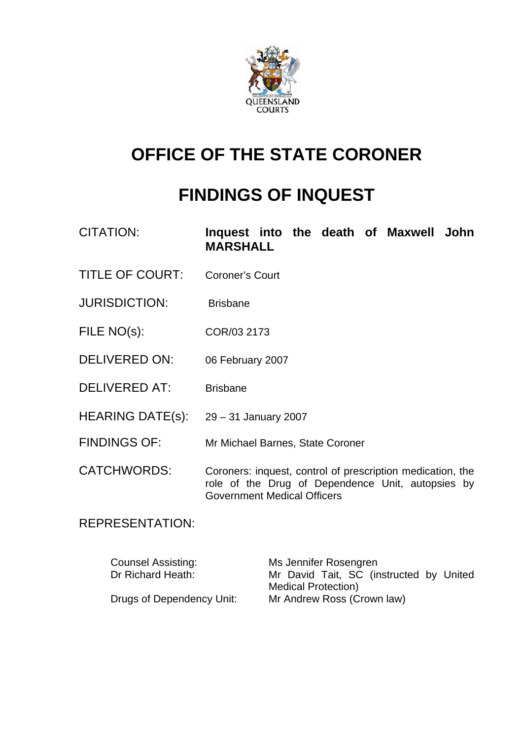

# **OFFICE OF THE STATE CORONER**

# **FINDINGS OF INQUEST**

| CITATION:              | Inquest into the death of Maxwell John<br><b>MARSHALL</b>                                                                                             |
|------------------------|-------------------------------------------------------------------------------------------------------------------------------------------------------|
| <b>TITLE OF COURT:</b> | <b>Coroner's Court</b>                                                                                                                                |
| <b>JURISDICTION:</b>   | <b>Brisbane</b>                                                                                                                                       |
| FILE NO(s):            | COR/03 2173                                                                                                                                           |
| <b>DELIVERED ON:</b>   | 06 February 2007                                                                                                                                      |
| <b>DELIVERED AT:</b>   | <b>Brisbane</b>                                                                                                                                       |
| HEARING DATE(s):       | 29 – 31 January 2007                                                                                                                                  |
| <b>FINDINGS OF:</b>    | Mr Michael Barnes, State Coroner                                                                                                                      |
| <b>CATCHWORDS:</b>     | Coroners: inquest, control of prescription medication, the<br>role of the Drug of Dependence Unit, autopsies by<br><b>Government Medical Officers</b> |

REPRESENTATION:

| <b>Counsel Assisting:</b> | Ms Jennifer Rosengren                   |
|---------------------------|-----------------------------------------|
| Dr Richard Heath:         | Mr David Tait, SC (instructed by United |
|                           | <b>Medical Protection)</b>              |
| Drugs of Dependency Unit: | Mr Andrew Ross (Crown law)              |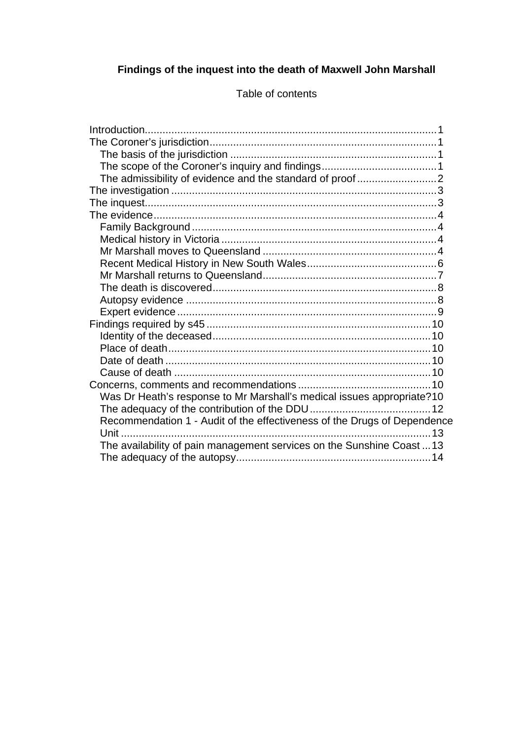#### **Findings of the inquest into the death of Maxwell John Marshall**

Introduction...................................................................................................1 The Coroner's jurisdiction.............................................................................1 The basis of the jurisdiction ......................................................................1 The scope of the Coroner's inquiry and findings.......................................1 The admissibility of evidence and the standard of proof ...........................2 The investigation ..........................................................................................3 The inquest...................................................................................................3 The evidence................................................................................................4 Family Background ...................................................................................4 Medical history in Victoria .........................................................................4 Mr Marshall moves to Queensland ...........................................................4 Recent Medical History in New South Wales............................................6 Mr Marshall returns to Queensland...........................................................7 The death is discovered............................................................................8 Autopsy evidence .....................................................................................8 Expert evidence ........................................................................................9 Findings required by s45 ............................................................................10 Identity of the deceased..........................................................................10 Place of death.........................................................................................10 Date of death ..........................................................................................10 Cause of death .......................................................................................10 Concerns, comments and recommendations .............................................10 Was Dr Heath's response to Mr Marshall's medical issues appropriate?10 The adequacy of the contribution of the DDU.........................................12 Recommendation 1 - Audit of the effectiveness of the Drugs of Dependence Unit .........................................................................................................13 The availability of pain management services on the Sunshine Coast ...13 The adequacy of the autopsy..................................................................14

Table of contents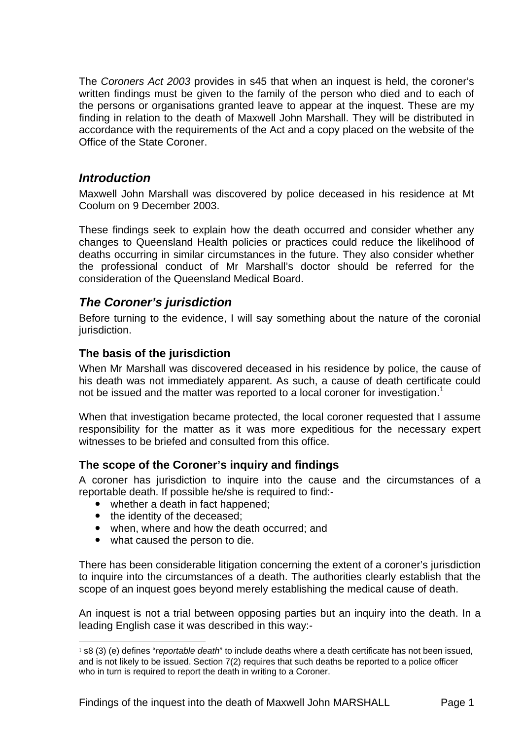The *Coroners Act 2003* provides in s45 that when an inquest is held, the coroner's written findings must be given to the family of the person who died and to each of the persons or organisations granted leave to appear at the inquest. These are my finding in relation to the death of Maxwell John Marshall. They will be distributed in accordance with the requirements of the Act and a copy placed on the website of the Office of the State Coroner.

## *Introduction*

Maxwell John Marshall was discovered by police deceased in his residence at Mt Coolum on 9 December 2003.

These findings seek to explain how the death occurred and consider whether any changes to Queensland Health policies or practices could reduce the likelihood of deaths occurring in similar circumstances in the future. They also consider whether the professional conduct of Mr Marshall's doctor should be referred for the consideration of the Queensland Medical Board.

# *The Coroner's jurisdiction*

Before turning to the evidence, I will say something about the nature of the coronial jurisdiction.

## **The basis of the jurisdiction**

When Mr Marshall was discovered deceased in his residence by police, the cause of his death was not immediately apparent. As such, a cause of death certificate could not be issued and the matter was reported to a local coroner for investigation.<sup>1</sup>

When that investigation became protected, the local coroner requested that I assume responsibility for the matter as it was more expeditious for the necessary expert witnesses to be briefed and consulted from this office.

### **The scope of the Coroner's inquiry and findings**

A coroner has jurisdiction to inquire into the cause and the circumstances of a reportable death. If possible he/she is required to find:-

- whether a death in fact happened;
- the identity of the deceased;

l

- when, where and how the death occurred; and
- what caused the person to die.

There has been considerable litigation concerning the extent of a coroner's jurisdiction to inquire into the circumstances of a death. The authorities clearly establish that the scope of an inquest goes beyond merely establishing the medical cause of death.

An inquest is not a trial between opposing parties but an inquiry into the death. In a leading English case it was described in this way:-

<sup>1</sup> s8 (3) (e) defines "*reportable death*" to include deaths where a death certificate has not been issued, and is not likely to be issued. Section 7(2) requires that such deaths be reported to a police officer who in turn is required to report the death in writing to a Coroner.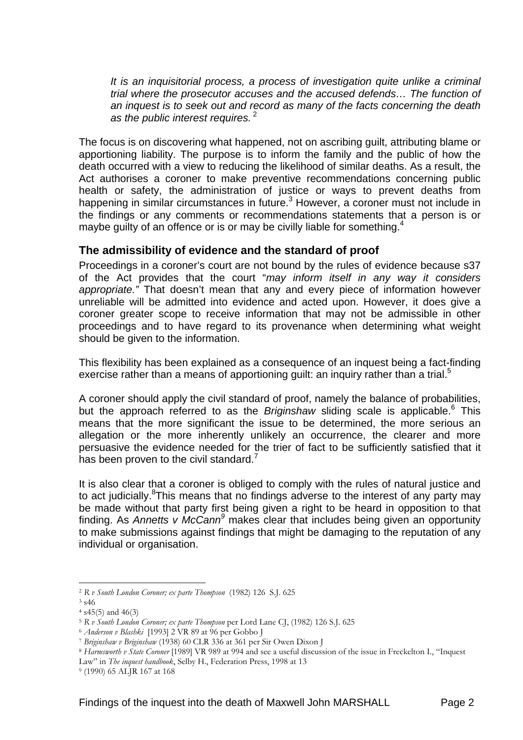*It is an inquisitorial process, a process of investigation quite unlike a criminal trial where the prosecutor accuses and the accused defends… The function of an inquest is to seek out and record as many of the facts concerning the death as the public interest requires.*<sup>2</sup>

The focus is on discovering what happened, not on ascribing guilt, attributing blame or apportioning liability. The purpose is to inform the family and the public of how the death occurred with a view to reducing the likelihood of similar deaths. As a result, the Act authorises a coroner to make preventive recommendations concerning public health or safety, the administration of justice or ways to prevent deaths from happening in similar circumstances in future.<sup>3</sup> However, a coroner must not include in the findings or any comments or recommendations statements that a person is or maybe guilty of an offence or is or may be civilly liable for something.<sup>4</sup>

### **The admissibility of evidence and the standard of proof**

Proceedings in a coroner's court are not bound by the rules of evidence because s37 of the Act provides that the court "*may inform itself in any way it considers appropriate."* That doesn't mean that any and every piece of information however unreliable will be admitted into evidence and acted upon. However, it does give a coroner greater scope to receive information that may not be admissible in other proceedings and to have regard to its provenance when determining what weight should be given to the information.

This flexibility has been explained as a consequence of an inquest being a fact-finding exercise rather than a means of apportioning guilt: an inquiry rather than a trial.<sup>5</sup>

A coroner should apply the civil standard of proof, namely the balance of probabilities, but the approach referred to as the *Briginshaw* sliding scale is applicable.<sup>6</sup> This means that the more significant the issue to be determined, the more serious an allegation or the more inherently unlikely an occurrence, the clearer and more persuasive the evidence needed for the trier of fact to be sufficiently satisfied that it has been proven to the civil standard.<sup>7</sup>

It is also clear that a coroner is obliged to comply with the rules of natural justice and to act judicially. <sup>8</sup>This means that no findings adverse to the interest of any party may be made without that party first being given a right to be heard in opposition to that finding. As Annetts v McCann<sup>9</sup> makes clear that includes being given an opportunity to make submissions against findings that might be damaging to the reputation of any individual or organisation.

l

<sup>2</sup> *R v South London Coroner; ex parte Thompson* (1982) 126 S.J. 625 3 s46

 $4$  s45(5) and 46(3)<br>  $5$  R v South London Coroner: ex parte Thompson per Lord Lane CI. (1982) 126 S.I. 625

<sup>&</sup>lt;sup>6</sup> Anderson v Blashki [1993] 2 VR 89 at 96 per Gobbo J<br><sup>7</sup> Briginshaw v Briginshaw (1938) 60 CLR 336 at 361 per Sir Owen Dixon J<br><sup>8</sup> Harmsworth v State Coroner [1989] VR 989 at 994 and see a useful discussion of the issu

Law" in *The inquest handbook*, Selby H., Federation Press, 1998 at 13 9 (1990) 65 ALJR 167 at 168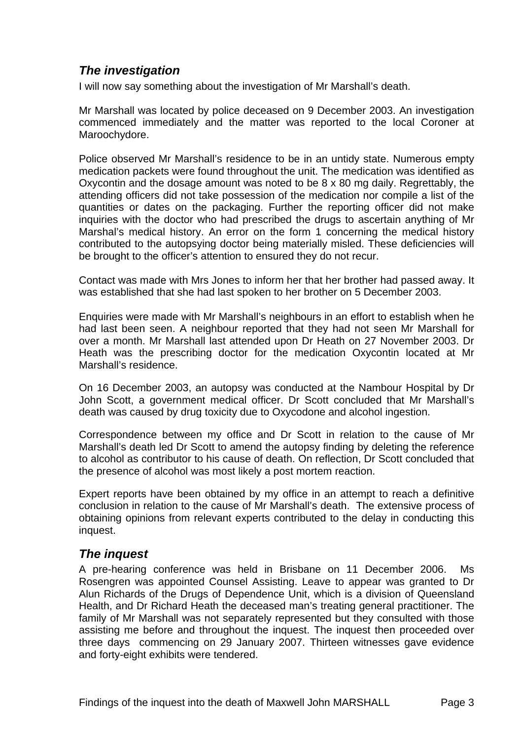# *The investigation*

I will now say something about the investigation of Mr Marshall's death.

Mr Marshall was located by police deceased on 9 December 2003. An investigation commenced immediately and the matter was reported to the local Coroner at Maroochydore.

Police observed Mr Marshall's residence to be in an untidy state. Numerous empty medication packets were found throughout the unit. The medication was identified as Oxycontin and the dosage amount was noted to be 8 x 80 mg daily. Regrettably, the attending officers did not take possession of the medication nor compile a list of the quantities or dates on the packaging. Further the reporting officer did not make inquiries with the doctor who had prescribed the drugs to ascertain anything of Mr Marshal's medical history. An error on the form 1 concerning the medical history contributed to the autopsying doctor being materially misled. These deficiencies will be brought to the officer's attention to ensured they do not recur.

Contact was made with Mrs Jones to inform her that her brother had passed away. It was established that she had last spoken to her brother on 5 December 2003.

Enquiries were made with Mr Marshall's neighbours in an effort to establish when he had last been seen. A neighbour reported that they had not seen Mr Marshall for over a month. Mr Marshall last attended upon Dr Heath on 27 November 2003. Dr Heath was the prescribing doctor for the medication Oxycontin located at Mr Marshall's residence.

On 16 December 2003, an autopsy was conducted at the Nambour Hospital by Dr John Scott, a government medical officer. Dr Scott concluded that Mr Marshall's death was caused by drug toxicity due to Oxycodone and alcohol ingestion.

Correspondence between my office and Dr Scott in relation to the cause of Mr Marshall's death led Dr Scott to amend the autopsy finding by deleting the reference to alcohol as contributor to his cause of death. On reflection, Dr Scott concluded that the presence of alcohol was most likely a post mortem reaction.

Expert reports have been obtained by my office in an attempt to reach a definitive conclusion in relation to the cause of Mr Marshall's death. The extensive process of obtaining opinions from relevant experts contributed to the delay in conducting this inquest.

# *The inquest*

A pre-hearing conference was held in Brisbane on 11 December 2006. Ms Rosengren was appointed Counsel Assisting. Leave to appear was granted to Dr Alun Richards of the Drugs of Dependence Unit, which is a division of Queensland Health, and Dr Richard Heath the deceased man's treating general practitioner. The family of Mr Marshall was not separately represented but they consulted with those assisting me before and throughout the inquest. The inquest then proceeded over three days commencing on 29 January 2007. Thirteen witnesses gave evidence and forty-eight exhibits were tendered.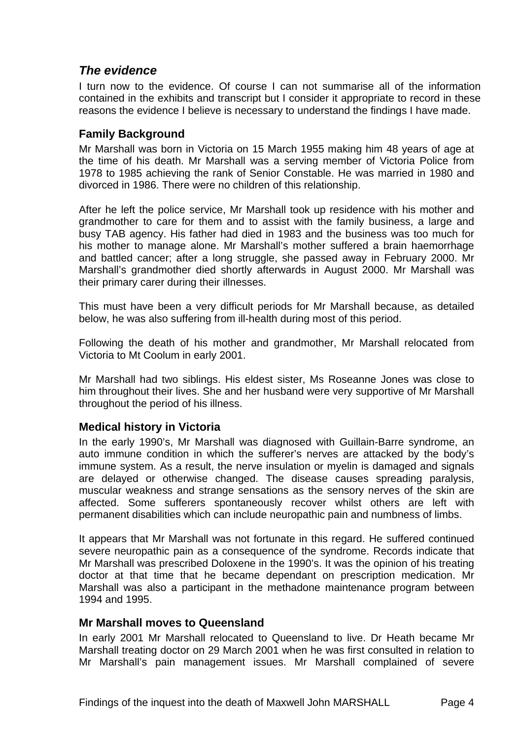## *The evidence*

I turn now to the evidence. Of course I can not summarise all of the information contained in the exhibits and transcript but I consider it appropriate to record in these reasons the evidence I believe is necessary to understand the findings I have made.

### **Family Background**

Mr Marshall was born in Victoria on 15 March 1955 making him 48 years of age at the time of his death. Mr Marshall was a serving member of Victoria Police from 1978 to 1985 achieving the rank of Senior Constable. He was married in 1980 and divorced in 1986. There were no children of this relationship.

After he left the police service, Mr Marshall took up residence with his mother and grandmother to care for them and to assist with the family business, a large and busy TAB agency. His father had died in 1983 and the business was too much for his mother to manage alone. Mr Marshall's mother suffered a brain haemorrhage and battled cancer; after a long struggle, she passed away in February 2000. Mr Marshall's grandmother died shortly afterwards in August 2000. Mr Marshall was their primary carer during their illnesses.

This must have been a very difficult periods for Mr Marshall because, as detailed below, he was also suffering from ill-health during most of this period.

Following the death of his mother and grandmother, Mr Marshall relocated from Victoria to Mt Coolum in early 2001.

Mr Marshall had two siblings. His eldest sister, Ms Roseanne Jones was close to him throughout their lives. She and her husband were very supportive of Mr Marshall throughout the period of his illness.

### **Medical history in Victoria**

In the early 1990's, Mr Marshall was diagnosed with Guillain-Barre syndrome, an auto immune condition in which the sufferer's nerves are attacked by the body's immune system. As a result, the nerve insulation or myelin is damaged and signals are delayed or otherwise changed. The disease causes spreading paralysis, muscular weakness and strange sensations as the sensory nerves of the skin are affected. Some sufferers spontaneously recover whilst others are left with permanent disabilities which can include neuropathic pain and numbness of limbs.

It appears that Mr Marshall was not fortunate in this regard. He suffered continued severe neuropathic pain as a consequence of the syndrome. Records indicate that Mr Marshall was prescribed Doloxene in the 1990's. It was the opinion of his treating doctor at that time that he became dependant on prescription medication. Mr Marshall was also a participant in the methadone maintenance program between 1994 and 1995.

### **Mr Marshall moves to Queensland**

In early 2001 Mr Marshall relocated to Queensland to live. Dr Heath became Mr Marshall treating doctor on 29 March 2001 when he was first consulted in relation to Mr Marshall's pain management issues. Mr Marshall complained of severe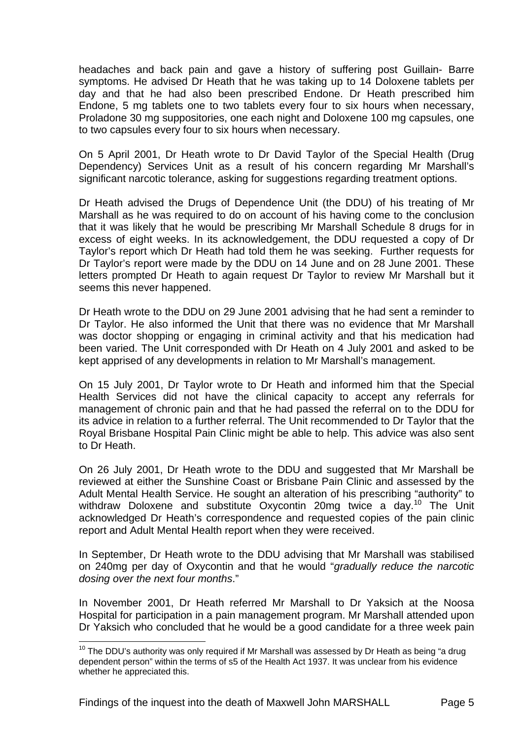headaches and back pain and gave a history of suffering post Guillain- Barre symptoms. He advised Dr Heath that he was taking up to 14 Doloxene tablets per day and that he had also been prescribed Endone. Dr Heath prescribed him Endone, 5 mg tablets one to two tablets every four to six hours when necessary, Proladone 30 mg suppositories, one each night and Doloxene 100 mg capsules, one to two capsules every four to six hours when necessary.

On 5 April 2001, Dr Heath wrote to Dr David Taylor of the Special Health (Drug Dependency) Services Unit as a result of his concern regarding Mr Marshall's significant narcotic tolerance, asking for suggestions regarding treatment options.

Dr Heath advised the Drugs of Dependence Unit (the DDU) of his treating of Mr Marshall as he was required to do on account of his having come to the conclusion that it was likely that he would be prescribing Mr Marshall Schedule 8 drugs for in excess of eight weeks. In its acknowledgement, the DDU requested a copy of Dr Taylor's report which Dr Heath had told them he was seeking. Further requests for Dr Taylor's report were made by the DDU on 14 June and on 28 June 2001. These letters prompted Dr Heath to again request Dr Taylor to review Mr Marshall but it seems this never happened.

Dr Heath wrote to the DDU on 29 June 2001 advising that he had sent a reminder to Dr Taylor. He also informed the Unit that there was no evidence that Mr Marshall was doctor shopping or engaging in criminal activity and that his medication had been varied. The Unit corresponded with Dr Heath on 4 July 2001 and asked to be kept apprised of any developments in relation to Mr Marshall's management.

On 15 July 2001, Dr Taylor wrote to Dr Heath and informed him that the Special Health Services did not have the clinical capacity to accept any referrals for management of chronic pain and that he had passed the referral on to the DDU for its advice in relation to a further referral. The Unit recommended to Dr Taylor that the Royal Brisbane Hospital Pain Clinic might be able to help. This advice was also sent to Dr Heath.

On 26 July 2001, Dr Heath wrote to the DDU and suggested that Mr Marshall be reviewed at either the Sunshine Coast or Brisbane Pain Clinic and assessed by the Adult Mental Health Service. He sought an alteration of his prescribing "authority" to withdraw Doloxene and substitute Oxycontin 20mg twice a day.<sup>10</sup> The Unit acknowledged Dr Heath's correspondence and requested copies of the pain clinic report and Adult Mental Health report when they were received.

In September, Dr Heath wrote to the DDU advising that Mr Marshall was stabilised on 240mg per day of Oxycontin and that he would "*gradually reduce the narcotic dosing over the next four months*."

In November 2001, Dr Heath referred Mr Marshall to Dr Yaksich at the Noosa Hospital for participation in a pain management program. Mr Marshall attended upon Dr Yaksich who concluded that he would be a good candidate for a three week pain

l

 $10$  The DDU's authority was only required if Mr Marshall was assessed by Dr Heath as being "a drug dependent person" within the terms of s5 of the Health Act 1937. It was unclear from his evidence whether he appreciated this.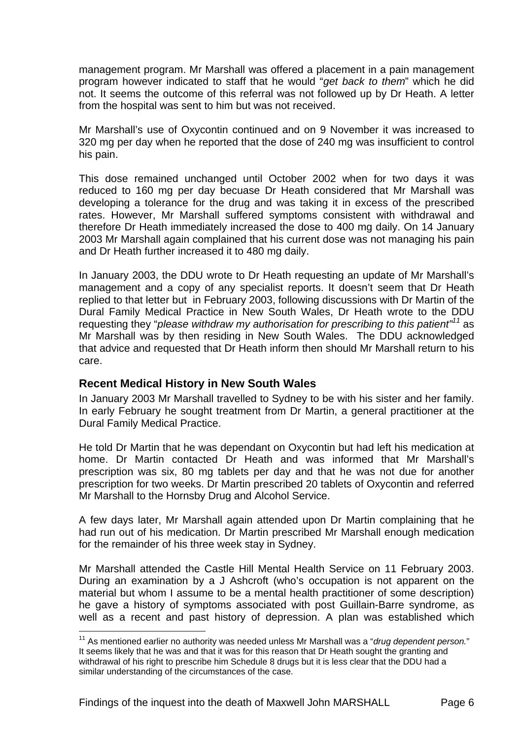management program. Mr Marshall was offered a placement in a pain management program however indicated to staff that he would "*get back to them*" which he did not. It seems the outcome of this referral was not followed up by Dr Heath. A letter from the hospital was sent to him but was not received.

Mr Marshall's use of Oxycontin continued and on 9 November it was increased to 320 mg per day when he reported that the dose of 240 mg was insufficient to control his pain.

This dose remained unchanged until October 2002 when for two days it was reduced to 160 mg per day becuase Dr Heath considered that Mr Marshall was developing a tolerance for the drug and was taking it in excess of the prescribed rates. However, Mr Marshall suffered symptoms consistent with withdrawal and therefore Dr Heath immediately increased the dose to 400 mg daily. On 14 January 2003 Mr Marshall again complained that his current dose was not managing his pain and Dr Heath further increased it to 480 mg daily.

In January 2003, the DDU wrote to Dr Heath requesting an update of Mr Marshall's management and a copy of any specialist reports. It doesn't seem that Dr Heath replied to that letter but in February 2003, following discussions with Dr Martin of the Dural Family Medical Practice in New South Wales, Dr Heath wrote to the DDU requesting they "*please withdraw my authorisation for prescribing to this patient"11* as Mr Marshall was by then residing in New South Wales. The DDU acknowledged that advice and requested that Dr Heath inform then should Mr Marshall return to his care.

### **Recent Medical History in New South Wales**

l

In January 2003 Mr Marshall travelled to Sydney to be with his sister and her family. In early February he sought treatment from Dr Martin, a general practitioner at the Dural Family Medical Practice.

He told Dr Martin that he was dependant on Oxycontin but had left his medication at home. Dr Martin contacted Dr Heath and was informed that Mr Marshall's prescription was six, 80 mg tablets per day and that he was not due for another prescription for two weeks. Dr Martin prescribed 20 tablets of Oxycontin and referred Mr Marshall to the Hornsby Drug and Alcohol Service.

A few days later, Mr Marshall again attended upon Dr Martin complaining that he had run out of his medication. Dr Martin prescribed Mr Marshall enough medication for the remainder of his three week stay in Sydney.

Mr Marshall attended the Castle Hill Mental Health Service on 11 February 2003. During an examination by a J Ashcroft (who's occupation is not apparent on the material but whom I assume to be a mental health practitioner of some description) he gave a history of symptoms associated with post Guillain-Barre syndrome, as well as a recent and past history of depression. A plan was established which

<sup>&</sup>lt;sup>11</sup> As mentioned earlier no authority was needed unless Mr Marshall was a "*drug dependent person.*" It seems likely that he was and that it was for this reason that Dr Heath sought the granting and withdrawal of his right to prescribe him Schedule 8 drugs but it is less clear that the DDU had a similar understanding of the circumstances of the case.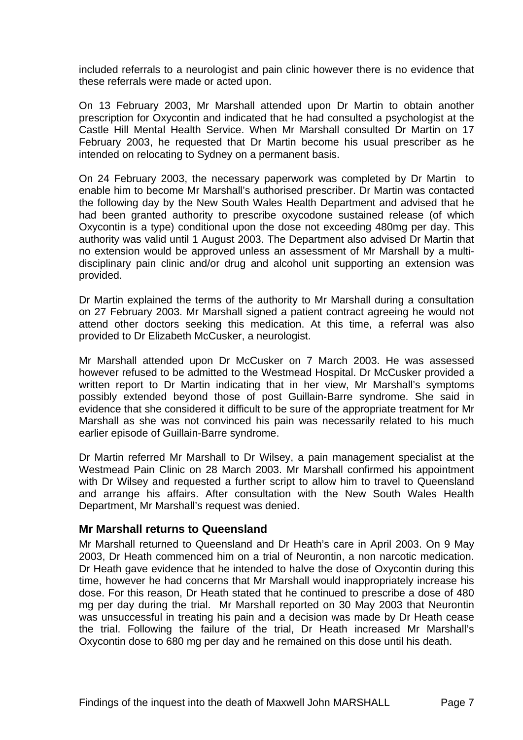included referrals to a neurologist and pain clinic however there is no evidence that these referrals were made or acted upon.

On 13 February 2003, Mr Marshall attended upon Dr Martin to obtain another prescription for Oxycontin and indicated that he had consulted a psychologist at the Castle Hill Mental Health Service. When Mr Marshall consulted Dr Martin on 17 February 2003, he requested that Dr Martin become his usual prescriber as he intended on relocating to Sydney on a permanent basis.

On 24 February 2003, the necessary paperwork was completed by Dr Martin to enable him to become Mr Marshall's authorised prescriber. Dr Martin was contacted the following day by the New South Wales Health Department and advised that he had been granted authority to prescribe oxycodone sustained release (of which Oxycontin is a type) conditional upon the dose not exceeding 480mg per day. This authority was valid until 1 August 2003. The Department also advised Dr Martin that no extension would be approved unless an assessment of Mr Marshall by a multidisciplinary pain clinic and/or drug and alcohol unit supporting an extension was provided.

Dr Martin explained the terms of the authority to Mr Marshall during a consultation on 27 February 2003. Mr Marshall signed a patient contract agreeing he would not attend other doctors seeking this medication. At this time, a referral was also provided to Dr Elizabeth McCusker, a neurologist.

Mr Marshall attended upon Dr McCusker on 7 March 2003. He was assessed however refused to be admitted to the Westmead Hospital. Dr McCusker provided a written report to Dr Martin indicating that in her view, Mr Marshall's symptoms possibly extended beyond those of post Guillain-Barre syndrome. She said in evidence that she considered it difficult to be sure of the appropriate treatment for Mr Marshall as she was not convinced his pain was necessarily related to his much earlier episode of Guillain-Barre syndrome.

Dr Martin referred Mr Marshall to Dr Wilsey, a pain management specialist at the Westmead Pain Clinic on 28 March 2003. Mr Marshall confirmed his appointment with Dr Wilsey and requested a further script to allow him to travel to Queensland and arrange his affairs. After consultation with the New South Wales Health Department, Mr Marshall's request was denied.

#### **Mr Marshall returns to Queensland**

Mr Marshall returned to Queensland and Dr Heath's care in April 2003. On 9 May 2003, Dr Heath commenced him on a trial of Neurontin, a non narcotic medication. Dr Heath gave evidence that he intended to halve the dose of Oxycontin during this time, however he had concerns that Mr Marshall would inappropriately increase his dose. For this reason, Dr Heath stated that he continued to prescribe a dose of 480 mg per day during the trial. Mr Marshall reported on 30 May 2003 that Neurontin was unsuccessful in treating his pain and a decision was made by Dr Heath cease the trial. Following the failure of the trial, Dr Heath increased Mr Marshall's Oxycontin dose to 680 mg per day and he remained on this dose until his death.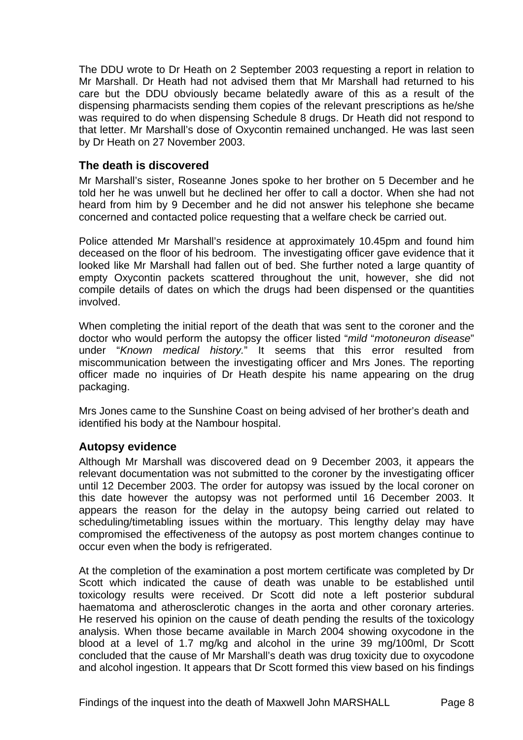The DDU wrote to Dr Heath on 2 September 2003 requesting a report in relation to Mr Marshall. Dr Heath had not advised them that Mr Marshall had returned to his care but the DDU obviously became belatedly aware of this as a result of the dispensing pharmacists sending them copies of the relevant prescriptions as he/she was required to do when dispensing Schedule 8 drugs. Dr Heath did not respond to that letter. Mr Marshall's dose of Oxycontin remained unchanged. He was last seen by Dr Heath on 27 November 2003.

## **The death is discovered**

Mr Marshall's sister, Roseanne Jones spoke to her brother on 5 December and he told her he was unwell but he declined her offer to call a doctor. When she had not heard from him by 9 December and he did not answer his telephone she became concerned and contacted police requesting that a welfare check be carried out.

Police attended Mr Marshall's residence at approximately 10.45pm and found him deceased on the floor of his bedroom. The investigating officer gave evidence that it looked like Mr Marshall had fallen out of bed. She further noted a large quantity of empty Oxycontin packets scattered throughout the unit, however, she did not compile details of dates on which the drugs had been dispensed or the quantities involved.

When completing the initial report of the death that was sent to the coroner and the doctor who would perform the autopsy the officer listed "*mild* "*motoneuron disease*" under "*Known medical history.*" It seems that this error resulted from miscommunication between the investigating officer and Mrs Jones. The reporting officer made no inquiries of Dr Heath despite his name appearing on the drug packaging.

Mrs Jones came to the Sunshine Coast on being advised of her brother's death and identified his body at the Nambour hospital.

### **Autopsy evidence**

Although Mr Marshall was discovered dead on 9 December 2003, it appears the relevant documentation was not submitted to the coroner by the investigating officer until 12 December 2003. The order for autopsy was issued by the local coroner on this date however the autopsy was not performed until 16 December 2003. It appears the reason for the delay in the autopsy being carried out related to scheduling/timetabling issues within the mortuary. This lengthy delay may have compromised the effectiveness of the autopsy as post mortem changes continue to occur even when the body is refrigerated.

At the completion of the examination a post mortem certificate was completed by Dr Scott which indicated the cause of death was unable to be established until toxicology results were received. Dr Scott did note a left posterior subdural haematoma and atherosclerotic changes in the aorta and other coronary arteries. He reserved his opinion on the cause of death pending the results of the toxicology analysis. When those became available in March 2004 showing oxycodone in the blood at a level of 1.7 mg/kg and alcohol in the urine 39 mg/100ml, Dr Scott concluded that the cause of Mr Marshall's death was drug toxicity due to oxycodone and alcohol ingestion. It appears that Dr Scott formed this view based on his findings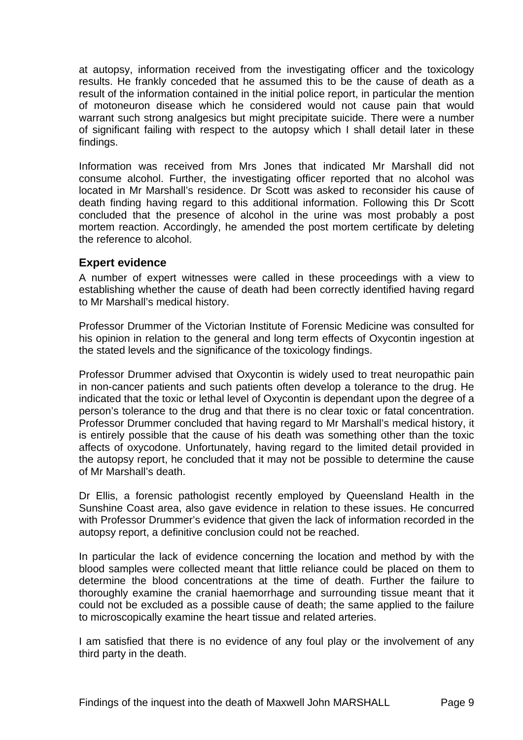at autopsy, information received from the investigating officer and the toxicology results. He frankly conceded that he assumed this to be the cause of death as a result of the information contained in the initial police report, in particular the mention of motoneuron disease which he considered would not cause pain that would warrant such strong analgesics but might precipitate suicide. There were a number of significant failing with respect to the autopsy which I shall detail later in these findings.

Information was received from Mrs Jones that indicated Mr Marshall did not consume alcohol. Further, the investigating officer reported that no alcohol was located in Mr Marshall's residence. Dr Scott was asked to reconsider his cause of death finding having regard to this additional information. Following this Dr Scott concluded that the presence of alcohol in the urine was most probably a post mortem reaction. Accordingly, he amended the post mortem certificate by deleting the reference to alcohol.

#### **Expert evidence**

A number of expert witnesses were called in these proceedings with a view to establishing whether the cause of death had been correctly identified having regard to Mr Marshall's medical history.

Professor Drummer of the Victorian Institute of Forensic Medicine was consulted for his opinion in relation to the general and long term effects of Oxycontin ingestion at the stated levels and the significance of the toxicology findings.

Professor Drummer advised that Oxycontin is widely used to treat neuropathic pain in non-cancer patients and such patients often develop a tolerance to the drug. He indicated that the toxic or lethal level of Oxycontin is dependant upon the degree of a person's tolerance to the drug and that there is no clear toxic or fatal concentration. Professor Drummer concluded that having regard to Mr Marshall's medical history, it is entirely possible that the cause of his death was something other than the toxic affects of oxycodone. Unfortunately, having regard to the limited detail provided in the autopsy report, he concluded that it may not be possible to determine the cause of Mr Marshall's death.

Dr Ellis, a forensic pathologist recently employed by Queensland Health in the Sunshine Coast area, also gave evidence in relation to these issues. He concurred with Professor Drummer's evidence that given the lack of information recorded in the autopsy report, a definitive conclusion could not be reached.

In particular the lack of evidence concerning the location and method by with the blood samples were collected meant that little reliance could be placed on them to determine the blood concentrations at the time of death. Further the failure to thoroughly examine the cranial haemorrhage and surrounding tissue meant that it could not be excluded as a possible cause of death; the same applied to the failure to microscopically examine the heart tissue and related arteries.

I am satisfied that there is no evidence of any foul play or the involvement of any third party in the death.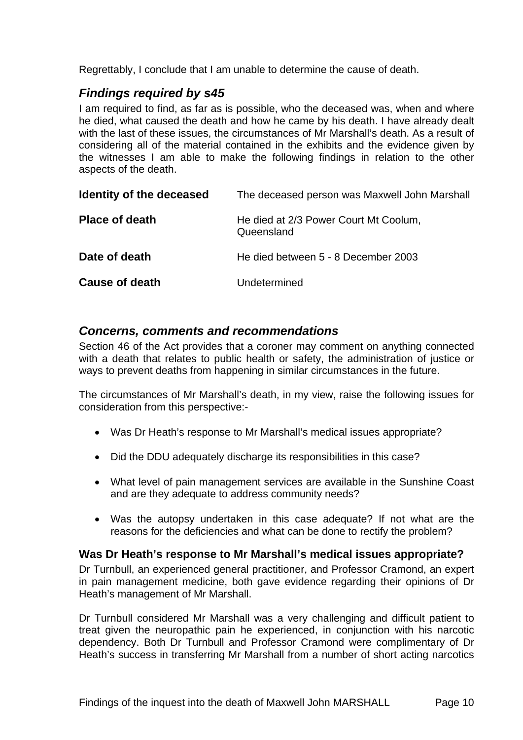Regrettably, I conclude that I am unable to determine the cause of death.

## *Findings required by s45*

I am required to find, as far as is possible, who the deceased was, when and where he died, what caused the death and how he came by his death. I have already dealt with the last of these issues, the circumstances of Mr Marshall's death. As a result of considering all of the material contained in the exhibits and the evidence given by the witnesses I am able to make the following findings in relation to the other aspects of the death.

| Identity of the deceased | The deceased person was Maxwell John Marshall       |
|--------------------------|-----------------------------------------------------|
| <b>Place of death</b>    | He died at 2/3 Power Court Mt Coolum,<br>Queensland |
| Date of death            | He died between 5 - 8 December 2003                 |
| <b>Cause of death</b>    | Undetermined                                        |

### *Concerns, comments and recommendations*

Section 46 of the Act provides that a coroner may comment on anything connected with a death that relates to public health or safety, the administration of justice or ways to prevent deaths from happening in similar circumstances in the future.

The circumstances of Mr Marshall's death, in my view, raise the following issues for consideration from this perspective:-

- Was Dr Heath's response to Mr Marshall's medical issues appropriate?
- Did the DDU adequately discharge its responsibilities in this case?
- What level of pain management services are available in the Sunshine Coast and are they adequate to address community needs?
- Was the autopsy undertaken in this case adequate? If not what are the reasons for the deficiencies and what can be done to rectify the problem?

### **Was Dr Heath's response to Mr Marshall's medical issues appropriate?**

Dr Turnbull, an experienced general practitioner, and Professor Cramond, an expert in pain management medicine, both gave evidence regarding their opinions of Dr Heath's management of Mr Marshall.

Dr Turnbull considered Mr Marshall was a very challenging and difficult patient to treat given the neuropathic pain he experienced, in conjunction with his narcotic dependency. Both Dr Turnbull and Professor Cramond were complimentary of Dr Heath's success in transferring Mr Marshall from a number of short acting narcotics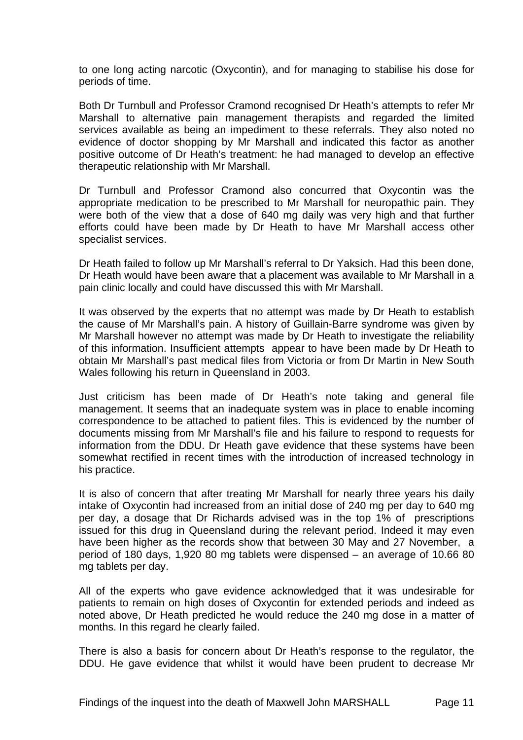to one long acting narcotic (Oxycontin), and for managing to stabilise his dose for periods of time.

Both Dr Turnbull and Professor Cramond recognised Dr Heath's attempts to refer Mr Marshall to alternative pain management therapists and regarded the limited services available as being an impediment to these referrals. They also noted no evidence of doctor shopping by Mr Marshall and indicated this factor as another positive outcome of Dr Heath's treatment: he had managed to develop an effective therapeutic relationship with Mr Marshall.

Dr Turnbull and Professor Cramond also concurred that Oxycontin was the appropriate medication to be prescribed to Mr Marshall for neuropathic pain. They were both of the view that a dose of 640 mg daily was very high and that further efforts could have been made by Dr Heath to have Mr Marshall access other specialist services.

Dr Heath failed to follow up Mr Marshall's referral to Dr Yaksich. Had this been done, Dr Heath would have been aware that a placement was available to Mr Marshall in a pain clinic locally and could have discussed this with Mr Marshall.

It was observed by the experts that no attempt was made by Dr Heath to establish the cause of Mr Marshall's pain. A history of Guillain-Barre syndrome was given by Mr Marshall however no attempt was made by Dr Heath to investigate the reliability of this information. Insufficient attempts appear to have been made by Dr Heath to obtain Mr Marshall's past medical files from Victoria or from Dr Martin in New South Wales following his return in Queensland in 2003.

Just criticism has been made of Dr Heath's note taking and general file management. It seems that an inadequate system was in place to enable incoming correspondence to be attached to patient files. This is evidenced by the number of documents missing from Mr Marshall's file and his failure to respond to requests for information from the DDU. Dr Heath gave evidence that these systems have been somewhat rectified in recent times with the introduction of increased technology in his practice.

It is also of concern that after treating Mr Marshall for nearly three years his daily intake of Oxycontin had increased from an initial dose of 240 mg per day to 640 mg per day, a dosage that Dr Richards advised was in the top 1% of prescriptions issued for this drug in Queensland during the relevant period. Indeed it may even have been higher as the records show that between 30 May and 27 November, a period of 180 days, 1,920 80 mg tablets were dispensed – an average of 10.66 80 mg tablets per day.

All of the experts who gave evidence acknowledged that it was undesirable for patients to remain on high doses of Oxycontin for extended periods and indeed as noted above, Dr Heath predicted he would reduce the 240 mg dose in a matter of months. In this regard he clearly failed.

There is also a basis for concern about Dr Heath's response to the regulator, the DDU. He gave evidence that whilst it would have been prudent to decrease Mr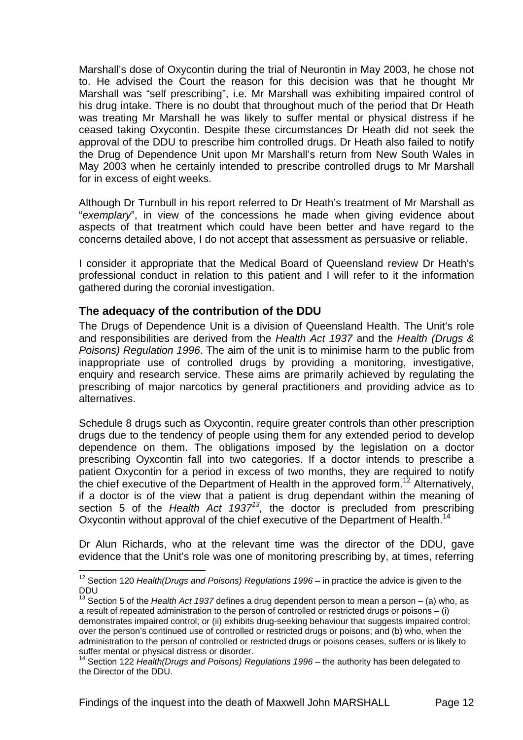Marshall's dose of Oxycontin during the trial of Neurontin in May 2003, he chose not to. He advised the Court the reason for this decision was that he thought Mr Marshall was "self prescribing", i.e. Mr Marshall was exhibiting impaired control of his drug intake. There is no doubt that throughout much of the period that Dr Heath was treating Mr Marshall he was likely to suffer mental or physical distress if he ceased taking Oxycontin. Despite these circumstances Dr Heath did not seek the approval of the DDU to prescribe him controlled drugs. Dr Heath also failed to notify the Drug of Dependence Unit upon Mr Marshall's return from New South Wales in May 2003 when he certainly intended to prescribe controlled drugs to Mr Marshall for in excess of eight weeks.

Although Dr Turnbull in his report referred to Dr Heath's treatment of Mr Marshall as "*exemplary*", in view of the concessions he made when giving evidence about aspects of that treatment which could have been better and have regard to the concerns detailed above, I do not accept that assessment as persuasive or reliable.

I consider it appropriate that the Medical Board of Queensland review Dr Heath's professional conduct in relation to this patient and I will refer to it the information gathered during the coronial investigation.

## **The adequacy of the contribution of the DDU**

l

The Drugs of Dependence Unit is a division of Queensland Health. The Unit's role and responsibilities are derived from the *Health Act 1937* and the *Health (Drugs & Poisons) Regulation 1996*. The aim of the unit is to minimise harm to the public from inappropriate use of controlled drugs by providing a monitoring, investigative, enquiry and research service. These aims are primarily achieved by regulating the prescribing of major narcotics by general practitioners and providing advice as to alternatives.

Schedule 8 drugs such as Oxycontin, require greater controls than other prescription drugs due to the tendency of people using them for any extended period to develop dependence on them. The obligations imposed by the legislation on a doctor prescribing Oyxcontin fall into two categories. If a doctor intends to prescribe a patient Oxycontin for a period in excess of two months, they are required to notify the chief executive of the Department of Health in the approved form.<sup>12</sup> Alternatively, if a doctor is of the view that a patient is drug dependant within the meaning of section 5 of the *Health Act 193713,* the doctor is precluded from prescribing Oxycontin without approval of the chief executive of the Department of Health.<sup>14</sup>

Dr Alun Richards, who at the relevant time was the director of the DDU, gave evidence that the Unit's role was one of monitoring prescribing by, at times, referring

Findings of the inquest into the death of Maxwell John MARSHALL Page 12

<sup>&</sup>lt;sup>12</sup> Section 120 *Health(Drugs and Poisons) Regulations 1996* – in practice the advice is given to the DDU

<sup>&</sup>lt;sup>13</sup> Section 5 of the *Health Act 1937* defines a drug dependent person to mean a person – (a) who, as a result of repeated administration to the person of controlled or restricted drugs or poisons – (i) demonstrates impaired control; or (ii) exhibits drug-seeking behaviour that suggests impaired control; over the person's continued use of controlled or restricted drugs or poisons; and (b) who, when the administration to the person of controlled or restricted drugs or poisons ceases, suffers or is likely to suffer mental or physical distress or disorder.

<sup>&</sup>lt;sup>14</sup> Section 122 *Health(Drugs and Poisons) Regulations 1996* – the authority has been delegated to the Director of the DDU.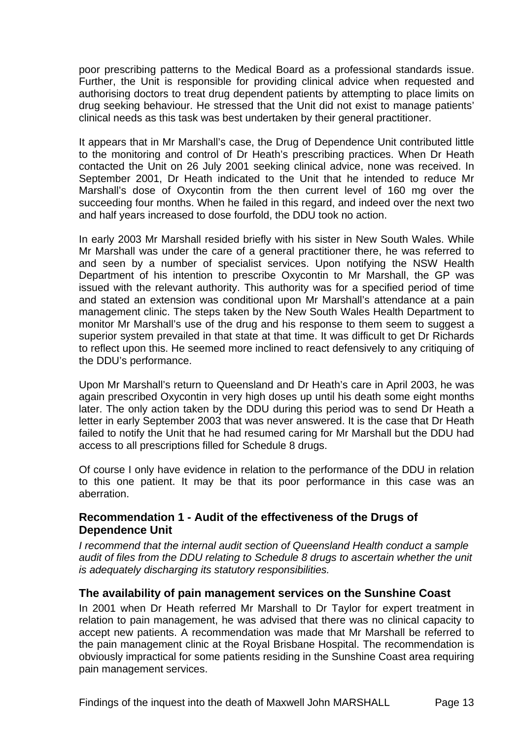poor prescribing patterns to the Medical Board as a professional standards issue. Further, the Unit is responsible for providing clinical advice when requested and authorising doctors to treat drug dependent patients by attempting to place limits on drug seeking behaviour. He stressed that the Unit did not exist to manage patients' clinical needs as this task was best undertaken by their general practitioner.

It appears that in Mr Marshall's case, the Drug of Dependence Unit contributed little to the monitoring and control of Dr Heath's prescribing practices. When Dr Heath contacted the Unit on 26 July 2001 seeking clinical advice, none was received. In September 2001, Dr Heath indicated to the Unit that he intended to reduce Mr Marshall's dose of Oxycontin from the then current level of 160 mg over the succeeding four months. When he failed in this regard, and indeed over the next two and half years increased to dose fourfold, the DDU took no action.

In early 2003 Mr Marshall resided briefly with his sister in New South Wales. While Mr Marshall was under the care of a general practitioner there, he was referred to and seen by a number of specialist services. Upon notifying the NSW Health Department of his intention to prescribe Oxycontin to Mr Marshall, the GP was issued with the relevant authority. This authority was for a specified period of time and stated an extension was conditional upon Mr Marshall's attendance at a pain management clinic. The steps taken by the New South Wales Health Department to monitor Mr Marshall's use of the drug and his response to them seem to suggest a superior system prevailed in that state at that time. It was difficult to get Dr Richards to reflect upon this. He seemed more inclined to react defensively to any critiquing of the DDU's performance.

Upon Mr Marshall's return to Queensland and Dr Heath's care in April 2003, he was again prescribed Oxycontin in very high doses up until his death some eight months later. The only action taken by the DDU during this period was to send Dr Heath a letter in early September 2003 that was never answered. It is the case that Dr Heath failed to notify the Unit that he had resumed caring for Mr Marshall but the DDU had access to all prescriptions filled for Schedule 8 drugs.

Of course I only have evidence in relation to the performance of the DDU in relation to this one patient. It may be that its poor performance in this case was an aberration.

### **Recommendation 1 - Audit of the effectiveness of the Drugs of Dependence Unit**

*I recommend that the internal audit section of Queensland Health conduct a sample audit of files from the DDU relating to Schedule 8 drugs to ascertain whether the unit is adequately discharging its statutory responsibilities.* 

#### **The availability of pain management services on the Sunshine Coast**

In 2001 when Dr Heath referred Mr Marshall to Dr Taylor for expert treatment in relation to pain management, he was advised that there was no clinical capacity to accept new patients. A recommendation was made that Mr Marshall be referred to the pain management clinic at the Royal Brisbane Hospital. The recommendation is obviously impractical for some patients residing in the Sunshine Coast area requiring pain management services.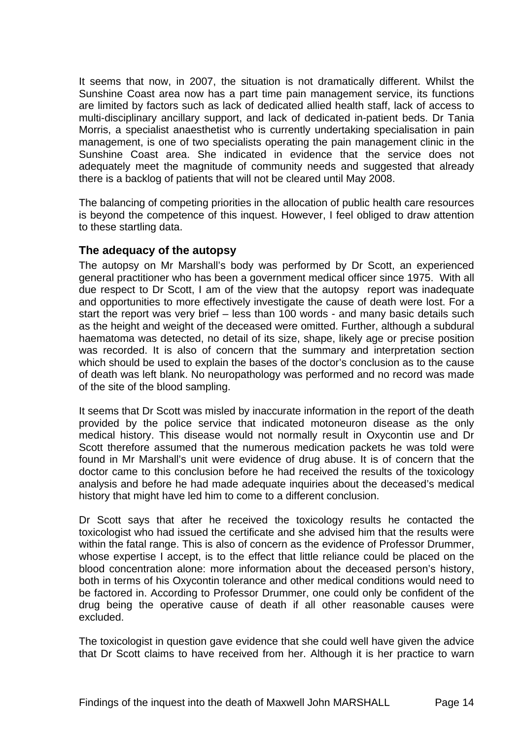It seems that now, in 2007, the situation is not dramatically different. Whilst the Sunshine Coast area now has a part time pain management service, its functions are limited by factors such as lack of dedicated allied health staff, lack of access to multi-disciplinary ancillary support, and lack of dedicated in-patient beds. Dr Tania Morris, a specialist anaesthetist who is currently undertaking specialisation in pain management, is one of two specialists operating the pain management clinic in the Sunshine Coast area. She indicated in evidence that the service does not adequately meet the magnitude of community needs and suggested that already there is a backlog of patients that will not be cleared until May 2008.

The balancing of competing priorities in the allocation of public health care resources is beyond the competence of this inquest. However, I feel obliged to draw attention to these startling data.

#### **The adequacy of the autopsy**

The autopsy on Mr Marshall's body was performed by Dr Scott, an experienced general practitioner who has been a government medical officer since 1975. With all due respect to Dr Scott, I am of the view that the autopsy report was inadequate and opportunities to more effectively investigate the cause of death were lost. For a start the report was very brief – less than 100 words - and many basic details such as the height and weight of the deceased were omitted. Further, although a subdural haematoma was detected, no detail of its size, shape, likely age or precise position was recorded. It is also of concern that the summary and interpretation section which should be used to explain the bases of the doctor's conclusion as to the cause of death was left blank. No neuropathology was performed and no record was made of the site of the blood sampling.

It seems that Dr Scott was misled by inaccurate information in the report of the death provided by the police service that indicated motoneuron disease as the only medical history. This disease would not normally result in Oxycontin use and Dr Scott therefore assumed that the numerous medication packets he was told were found in Mr Marshall's unit were evidence of drug abuse. It is of concern that the doctor came to this conclusion before he had received the results of the toxicology analysis and before he had made adequate inquiries about the deceased's medical history that might have led him to come to a different conclusion.

Dr Scott says that after he received the toxicology results he contacted the toxicologist who had issued the certificate and she advised him that the results were within the fatal range. This is also of concern as the evidence of Professor Drummer, whose expertise I accept, is to the effect that little reliance could be placed on the blood concentration alone: more information about the deceased person's history, both in terms of his Oxycontin tolerance and other medical conditions would need to be factored in. According to Professor Drummer, one could only be confident of the drug being the operative cause of death if all other reasonable causes were excluded.

The toxicologist in question gave evidence that she could well have given the advice that Dr Scott claims to have received from her. Although it is her practice to warn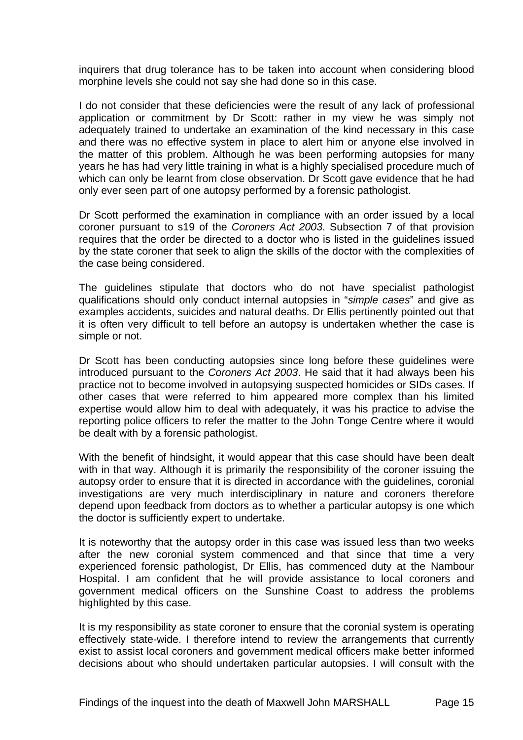inquirers that drug tolerance has to be taken into account when considering blood morphine levels she could not say she had done so in this case.

I do not consider that these deficiencies were the result of any lack of professional application or commitment by Dr Scott: rather in my view he was simply not adequately trained to undertake an examination of the kind necessary in this case and there was no effective system in place to alert him or anyone else involved in the matter of this problem. Although he was been performing autopsies for many years he has had very little training in what is a highly specialised procedure much of which can only be learnt from close observation. Dr Scott gave evidence that he had only ever seen part of one autopsy performed by a forensic pathologist.

Dr Scott performed the examination in compliance with an order issued by a local coroner pursuant to s19 of the *Coroners Act 2003*. Subsection 7 of that provision requires that the order be directed to a doctor who is listed in the guidelines issued by the state coroner that seek to align the skills of the doctor with the complexities of the case being considered.

The guidelines stipulate that doctors who do not have specialist pathologist qualifications should only conduct internal autopsies in "*simple cases*" and give as examples accidents, suicides and natural deaths. Dr Ellis pertinently pointed out that it is often very difficult to tell before an autopsy is undertaken whether the case is simple or not.

Dr Scott has been conducting autopsies since long before these guidelines were introduced pursuant to the *Coroners Act 2003*. He said that it had always been his practice not to become involved in autopsying suspected homicides or SIDs cases. If other cases that were referred to him appeared more complex than his limited expertise would allow him to deal with adequately, it was his practice to advise the reporting police officers to refer the matter to the John Tonge Centre where it would be dealt with by a forensic pathologist.

With the benefit of hindsight, it would appear that this case should have been dealt with in that way. Although it is primarily the responsibility of the coroner issuing the autopsy order to ensure that it is directed in accordance with the guidelines, coronial investigations are very much interdisciplinary in nature and coroners therefore depend upon feedback from doctors as to whether a particular autopsy is one which the doctor is sufficiently expert to undertake.

It is noteworthy that the autopsy order in this case was issued less than two weeks after the new coronial system commenced and that since that time a very experienced forensic pathologist, Dr Ellis, has commenced duty at the Nambour Hospital. I am confident that he will provide assistance to local coroners and government medical officers on the Sunshine Coast to address the problems highlighted by this case.

It is my responsibility as state coroner to ensure that the coronial system is operating effectively state-wide. I therefore intend to review the arrangements that currently exist to assist local coroners and government medical officers make better informed decisions about who should undertaken particular autopsies. I will consult with the